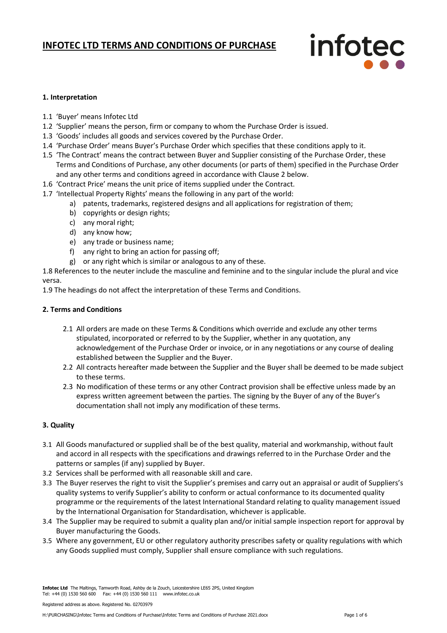# infotec

#### **1. Interpretation**

- 1.1 'Buyer' means Infotec Ltd
- 1.2 'Supplier' means the person, firm or company to whom the Purchase Order is issued.
- 1.3 'Goods' includes all goods and services covered by the Purchase Order.
- 1.4 'Purchase Order' means Buyer's Purchase Order which specifies that these conditions apply to it.
- 1.5 'The Contract' means the contract between Buyer and Supplier consisting of the Purchase Order, these Terms and Conditions of Purchase, any other documents (or parts of them) specified in the Purchase Order and any other terms and conditions agreed in accordance with Clause 2 below.
- 1.6 'Contract Price' means the unit price of items supplied under the Contract.
- 1.7 'Intellectual Property Rights' means the following in any part of the world:
	- a) patents, trademarks, registered designs and all applications for registration of them;
	- b) copyrights or design rights;
	- c) any moral right;
	- d) any know how;
	- e) any trade or business name;
	- f) any right to bring an action for passing off;
	- g) or any right which is similar or analogous to any of these.

1.8 References to the neuter include the masculine and feminine and to the singular include the plural and vice versa.

1.9 The headings do not affect the interpretation of these Terms and Conditions.

#### **2. Terms and Conditions**

- 2.1 All orders are made on these Terms & Conditions which override and exclude any other terms stipulated, incorporated or referred to by the Supplier, whether in any quotation, any acknowledgement of the Purchase Order or invoice, or in any negotiations or any course of dealing established between the Supplier and the Buyer.
- 2.2 All contracts hereafter made between the Supplier and the Buyer shall be deemed to be made subject to these terms.
- 2.3 No modification of these terms or any other Contract provision shall be effective unless made by an express written agreement between the parties. The signing by the Buyer of any of the Buyer's documentation shall not imply any modification of these terms.

#### **3. Quality**

- 3.1 All Goods manufactured or supplied shall be of the best quality, material and workmanship, without fault and accord in all respects with the specifications and drawings referred to in the Purchase Order and the patterns or samples (if any) supplied by Buyer.
- 3.2 Services shall be performed with all reasonable skill and care.
- 3.3 The Buyer reserves the right to visit the Supplier's premises and carry out an appraisal or audit of Suppliers's quality systems to verify Supplier's ability to conform or actual conformance to its documented quality programme or the requirements of the latest International Standard relating to quality management issued by the International Organisation for Standardisation, whichever is applicable.
- 3.4 The Supplier may be required to submit a quality plan and/or initial sample inspection report for approval by Buyer manufacturing the Goods.
- 3.5 Where any government, EU or other regulatory authority prescribes safety or quality regulations with which any Goods supplied must comply, Supplier shall ensure compliance with such regulations.

Registered address as above. Registered No. 02703979

**Infotec Ltd** The Maltings, Tamworth Road, Ashby de la Zouch, Leicestershire LE65 2PS, United Kingdom Tel: +44 (0) 1530 560 600 Fax: +44 (0) 1530 560 111 www.infotec.co.uk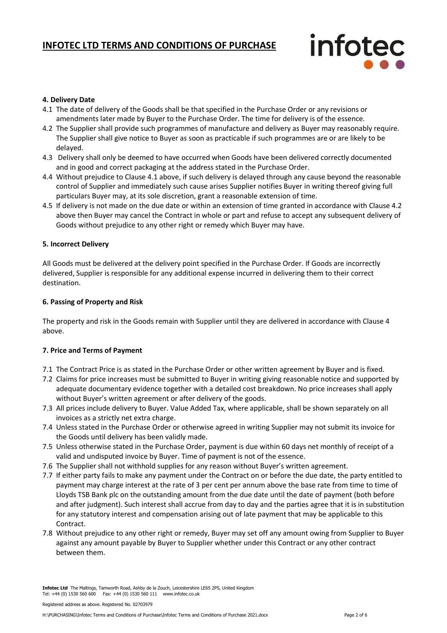## infotec

#### **4. Delivery Date**

- 4.1 The date of delivery of the Goods shall be that specified in the Purchase Order or any revisions or amendments later made by Buyer to the Purchase Order. The time for delivery is of the essence.
- 4.2 The Supplier shall provide such programmes of manufacture and delivery as Buyer may reasonably require. The Supplier shall give notice to Buyer as soon as practicable if such programmes are or are likely to be delayed.
- 4.3 Delivery shall only be deemed to have occurred when Goods have been delivered correctly documented and in good and correct packaging at the address stated in the Purchase Order.
- 4.4 Without prejudice to Clause 4.1 above, if such delivery is delayed through any cause beyond the reasonable control of Supplier and immediately such cause arises Supplier notifies Buyer in writing thereof giving full particulars Buyer may, at its sole discretion, grant a reasonable extension of time.
- 4.5 If delivery is not made on the due date or within an extension of time granted in accordance with Clause 4.2 above then Buyer may cancel the Contract in whole or part and refuse to accept any subsequent delivery of Goods without prejudice to any other right or remedy which Buyer may have.

#### **5. Incorrect Delivery**

All Goods must be delivered at the delivery point specified in the Purchase Order. If Goods are incorrectly delivered, Supplier is responsible for any additional expense incurred in delivering them to their correct destination.

#### **6. Passing of Property and Risk**

The property and risk in the Goods remain with Supplier until they are delivered in accordance with Clause 4 above.

#### **7. Price and Terms of Payment**

- 7.1 The Contract Price is as stated in the Purchase Order or other written agreement by Buyer and is fixed.
- 7.2 Claims for price increases must be submitted to Buyer in writing giving reasonable notice and supported by adequate documentary evidence together with a detailed cost breakdown. No price increases shall apply without Buyer's written agreement or after delivery of the goods.
- 7.3 All prices include delivery to Buyer. Value Added Tax, where applicable, shall be shown separately on all invoices as a strictly net extra charge.
- 7.4 Unless stated in the Purchase Order or otherwise agreed in writing Supplier may not submit its invoice for the Goods until delivery has been validly made.
- 7.5 Unless otherwise stated in the Purchase Order, payment is due within 60 days net monthly of receipt of a valid and undisputed invoice by Buyer. Time of payment is not of the essence.
- 7.6 The Supplier shall not withhold supplies for any reason without Buyer's written agreement.
- 7.7 If either party fails to make any payment under the Contract on or before the due date, the party entitled to payment may charge interest at the rate of 3 per cent per annum above the base rate from time to time of Lloyds TSB Bank plc on the outstanding amount from the due date until the date of payment (both before and after judgment). Such interest shall accrue from day to day and the parties agree that it is in substitution for any statutory interest and compensation arising out of late payment that may be applicable to this Contract.
- 7.8 Without prejudice to any other right or remedy, Buyer may set off any amount owing from Supplier to Buyer against any amount payable by Buyer to Supplier whether under this Contract or any other contract between them.

**Infotec Ltd** The Maltings, Tamworth Road, Ashby de la Zouch, Leicestershire LE65 2PS, United Kingdom Tel: +44 (0) 1530 560 600 Fax: +44 (0) 1530 560 111 www.infotec.co.uk

Registered address as above. Registered No. 02703979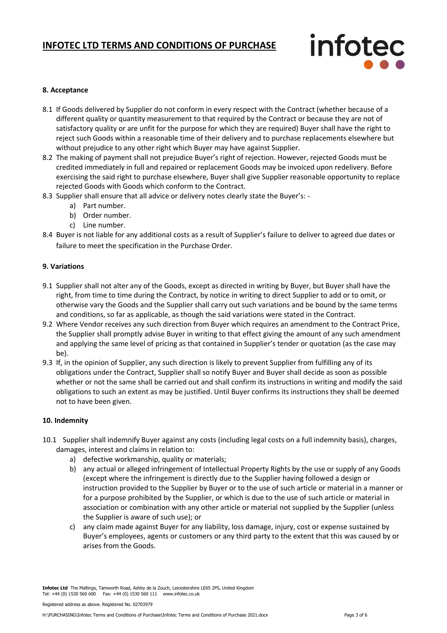## infotec

#### **8. Acceptance**

- 8.1 If Goods delivered by Supplier do not conform in every respect with the Contract (whether because of a different quality or quantity measurement to that required by the Contract or because they are not of satisfactory quality or are unfit for the purpose for which they are required) Buyer shall have the right to reject such Goods within a reasonable time of their delivery and to purchase replacements elsewhere but without prejudice to any other right which Buyer may have against Supplier.
- 8.2 The making of payment shall not prejudice Buyer's right of rejection. However, rejected Goods must be credited immediately in full and repaired or replacement Goods may be invoiced upon redelivery. Before exercising the said right to purchase elsewhere, Buyer shall give Supplier reasonable opportunity to replace rejected Goods with Goods which conform to the Contract.
- 8.3 Supplier shall ensure that all advice or delivery notes clearly state the Buyer's:
	- a) Part number.
	- b) Order number.
	- c) Line number.
- 8.4 Buyer is not liable for any additional costs as a result of Supplier's failure to deliver to agreed due dates or failure to meet the specification in the Purchase Order.

#### **9. Variations**

- 9.1 Supplier shall not alter any of the Goods, except as directed in writing by Buyer, but Buyer shall have the right, from time to time during the Contract, by notice in writing to direct Supplier to add or to omit, or otherwise vary the Goods and the Supplier shall carry out such variations and be bound by the same terms and conditions, so far as applicable, as though the said variations were stated in the Contract.
- 9.2 Where Vendor receives any such direction from Buyer which requires an amendment to the Contract Price, the Supplier shall promptly advise Buyer in writing to that effect giving the amount of any such amendment and applying the same level of pricing as that contained in Supplier's tender or quotation (as the case may be).
- 9.3 If, in the opinion of Supplier, any such direction is likely to prevent Supplier from fulfilling any of its obligations under the Contract, Supplier shall so notify Buyer and Buyer shall decide as soon as possible whether or not the same shall be carried out and shall confirm its instructions in writing and modify the said obligations to such an extent as may be justified. Until Buyer confirms its instructions they shall be deemed not to have been given.

#### **10. Indemnity**

- 10.1 Supplier shall indemnify Buyer against any costs (including legal costs on a full indemnity basis), charges, damages, interest and claims in relation to:
	- a) defective workmanship, quality or materials;
	- b) any actual or alleged infringement of Intellectual Property Rights by the use or supply of any Goods (except where the infringement is directly due to the Supplier having followed a design or instruction provided to the Supplier by Buyer or to the use of such article or material in a manner or for a purpose prohibited by the Supplier, or which is due to the use of such article or material in association or combination with any other article or material not supplied by the Supplier (unless the Supplier is aware of such use); or
	- c) any claim made against Buyer for any liability, loss damage, injury, cost or expense sustained by Buyer's employees, agents or customers or any third party to the extent that this was caused by or arises from the Goods.

**Infotec Ltd** The Maltings, Tamworth Road, Ashby de la Zouch, Leicestershire LE65 2PS, United Kingdom Tel: +44 (0) 1530 560 600 Fax: +44 (0) 1530 560 111 www.infotec.co.uk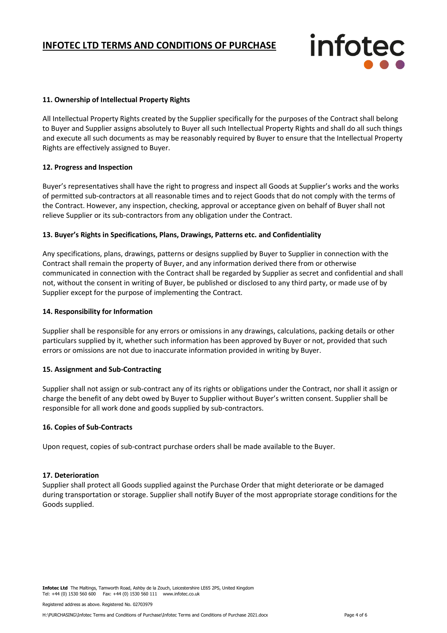infotec

#### **11. Ownership of Intellectual Property Rights**

All Intellectual Property Rights created by the Supplier specifically for the purposes of the Contract shall belong to Buyer and Supplier assigns absolutely to Buyer all such Intellectual Property Rights and shall do all such things and execute all such documents as may be reasonably required by Buyer to ensure that the Intellectual Property Rights are effectively assigned to Buyer.

#### **12. Progress and Inspection**

Buyer's representatives shall have the right to progress and inspect all Goods at Supplier's works and the works of permitted sub-contractors at all reasonable times and to reject Goods that do not comply with the terms of the Contract. However, any inspection, checking, approval or acceptance given on behalf of Buyer shall not relieve Supplier or its sub-contractors from any obligation under the Contract.

#### **13. Buyer's Rights in Specifications, Plans, Drawings, Patterns etc. and Confidentiality**

Any specifications, plans, drawings, patterns or designs supplied by Buyer to Supplier in connection with the Contract shall remain the property of Buyer, and any information derived there from or otherwise communicated in connection with the Contract shall be regarded by Supplier as secret and confidential and shall not, without the consent in writing of Buyer, be published or disclosed to any third party, or made use of by Supplier except for the purpose of implementing the Contract.

#### **14. Responsibility for Information**

Supplier shall be responsible for any errors or omissions in any drawings, calculations, packing details or other particulars supplied by it, whether such information has been approved by Buyer or not, provided that such errors or omissions are not due to inaccurate information provided in writing by Buyer.

#### **15. Assignment and Sub-Contracting**

Supplier shall not assign or sub-contract any of its rights or obligations under the Contract, nor shall it assign or charge the benefit of any debt owed by Buyer to Supplier without Buyer's written consent. Supplier shall be responsible for all work done and goods supplied by sub-contractors.

#### **16. Copies of Sub-Contracts**

Upon request, copies of sub-contract purchase orders shall be made available to the Buyer.

#### **17. Deterioration**

Supplier shall protect all Goods supplied against the Purchase Order that might deteriorate or be damaged during transportation or storage. Supplier shall notify Buyer of the most appropriate storage conditions for the Goods supplied.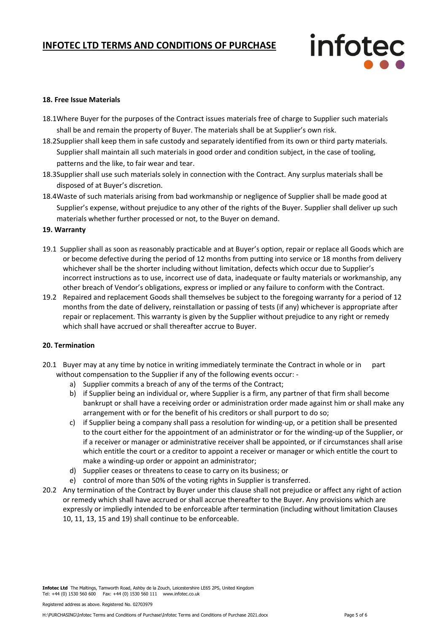

#### **18. Free Issue Materials**

- 18.1Where Buyer for the purposes of the Contract issues materials free of charge to Supplier such materials shall be and remain the property of Buyer. The materials shall be at Supplier's own risk.
- 18.2Supplier shall keep them in safe custody and separately identified from its own or third party materials. Supplier shall maintain all such materials in good order and condition subject, in the case of tooling, patterns and the like, to fair wear and tear.
- 18.3Supplier shall use such materials solely in connection with the Contract. Any surplus materials shall be disposed of at Buyer's discretion.
- 18.4Waste of such materials arising from bad workmanship or negligence of Supplier shall be made good at Supplier's expense, without prejudice to any other of the rights of the Buyer. Supplier shall deliver up such materials whether further processed or not, to the Buyer on demand.

#### **19. Warranty**

- 19.1 Supplier shall as soon as reasonably practicable and at Buyer's option, repair or replace all Goods which are or become defective during the period of 12 months from putting into service or 18 months from delivery whichever shall be the shorter including without limitation, defects which occur due to Supplier's incorrect instructions as to use, incorrect use of data, inadequate or faulty materials or workmanship, any other breach of Vendor's obligations, express or implied or any failure to conform with the Contract.
- 19.2 Repaired and replacement Goods shall themselves be subject to the foregoing warranty for a period of 12 months from the date of delivery, reinstallation or passing of tests (if any) whichever is appropriate after repair or replacement. This warranty is given by the Supplier without prejudice to any right or remedy which shall have accrued or shall thereafter accrue to Buyer.

#### **20. Termination**

- 20.1 Buyer may at any time by notice in writing immediately terminate the Contract in whole or in part without compensation to the Supplier if any of the following events occur:
	- a) Supplier commits a breach of any of the terms of the Contract;
	- b) if Supplier being an individual or, where Supplier is a firm, any partner of that firm shall become bankrupt or shall have a receiving order or administration order made against him or shall make any arrangement with or for the benefit of his creditors or shall purport to do so;
	- c) if Supplier being a company shall pass a resolution for winding-up, or a petition shall be presented to the court either for the appointment of an administrator or for the winding-up of the Supplier, or if a receiver or manager or administrative receiver shall be appointed, or if circumstances shall arise which entitle the court or a creditor to appoint a receiver or manager or which entitle the court to make a winding-up order or appoint an administrator;
	- d) Supplier ceases or threatens to cease to carry on its business; or
	- e) control of more than 50% of the voting rights in Supplier is transferred.
- 20.2 Any termination of the Contract by Buyer under this clause shall not prejudice or affect any right of action or remedy which shall have accrued or shall accrue thereafter to the Buyer. Any provisions which are expressly or impliedly intended to be enforceable after termination (including without limitation Clauses 10, 11, 13, 15 and 19) shall continue to be enforceable.